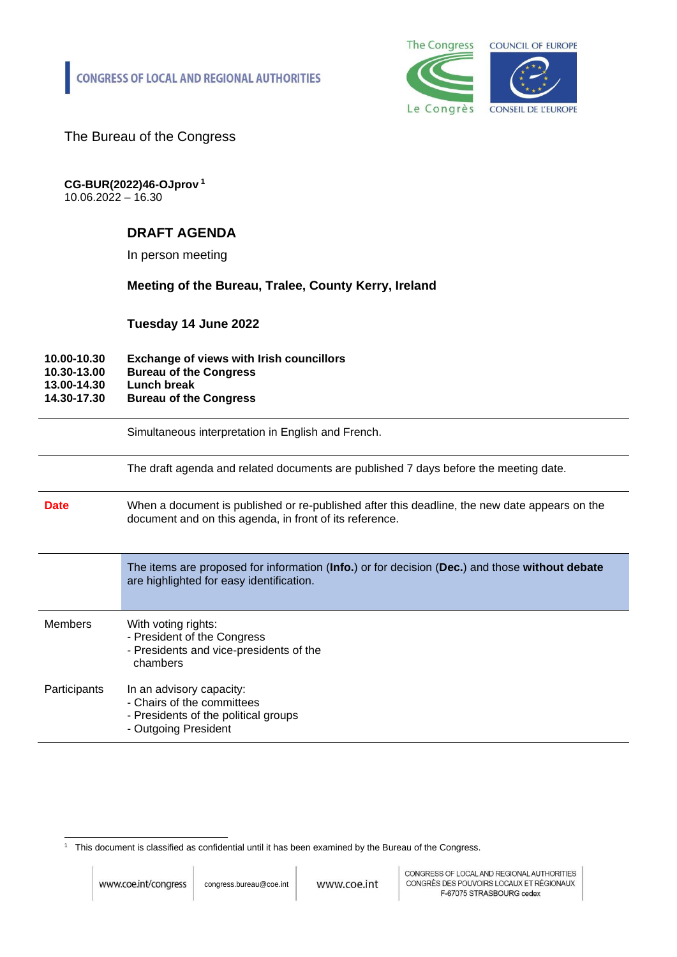

The Bureau of the Congress

# **CG-BUR(2022)46-OJprov <sup>1</sup>**

10.06.2022 – 16.30

## **DRAFT AGENDA**

In person meeting

#### **Meeting of the Bureau, Tralee, County Kerry, Ireland**

**Tuesday 14 June 2022**

| 10.00-10.30 | <b>Exchange of views with Irish councillors</b> |
|-------------|-------------------------------------------------|
| 10.30-13.00 | <b>Bureau of the Congress</b>                   |
| 13.00-14.30 | Lunch break                                     |
|             |                                                 |

**14.30-17.30 Bureau of the Congress**

Simultaneous interpretation in English and French.

The draft agenda and related documents are published 7 days before the meeting date.

**Date** When a document is published or re-published after this deadline, the new date appears on the document and on this agenda, in front of its reference.

|              | The items are proposed for information (Info.) or for decision (Dec.) and those without debate<br>are highlighted for easy identification. |
|--------------|--------------------------------------------------------------------------------------------------------------------------------------------|
| Members      | With voting rights:<br>- President of the Congress<br>- Presidents and vice-presidents of the<br>chambers                                  |
| Participants | In an advisory capacity:<br>- Chairs of the committees<br>- Presidents of the political groups<br>- Outgoing President                     |

- Outgoing President

<sup>1</sup> This document is classified as confidential until it has been examined by the Bureau of the Congress.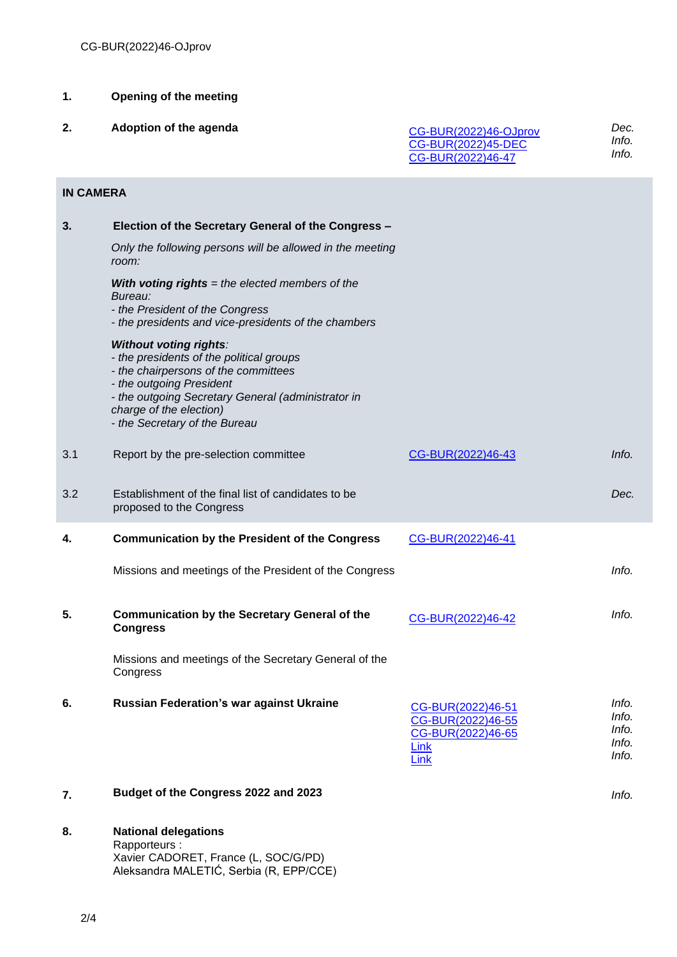#### **1. Opening of the meeting**

**2. Adoption of the agenda** 

| CG-BUR(2022)46-OJprov | Dec.  |
|-----------------------|-------|
| CG-BUR(2022)45-DEC    | Info. |
| CG-BUR(2022)46-47     | Info. |

#### **IN CAMERA**

| 3.  | Election of the Secretary General of the Congress -                                                                                                                                                                                                             |                                                                             |                                           |
|-----|-----------------------------------------------------------------------------------------------------------------------------------------------------------------------------------------------------------------------------------------------------------------|-----------------------------------------------------------------------------|-------------------------------------------|
|     | Only the following persons will be allowed in the meeting<br>room:                                                                                                                                                                                              |                                                                             |                                           |
|     | With voting rights $=$ the elected members of the<br>Bureau:<br>- the President of the Congress<br>- the presidents and vice-presidents of the chambers                                                                                                         |                                                                             |                                           |
|     | <b>Without voting rights:</b><br>- the presidents of the political groups<br>- the chairpersons of the committees<br>- the outgoing President<br>- the outgoing Secretary General (administrator in<br>charge of the election)<br>- the Secretary of the Bureau |                                                                             |                                           |
| 3.1 | Report by the pre-selection committee                                                                                                                                                                                                                           | CG-BUR(2022)46-43                                                           | Info.                                     |
| 3.2 | Establishment of the final list of candidates to be<br>proposed to the Congress                                                                                                                                                                                 |                                                                             | Dec.                                      |
| 4.  | <b>Communication by the President of the Congress</b>                                                                                                                                                                                                           | CG-BUR(2022)46-41                                                           |                                           |
|     | Missions and meetings of the President of the Congress                                                                                                                                                                                                          |                                                                             | Info.                                     |
| 5.  | <b>Communication by the Secretary General of the</b><br><b>Congress</b>                                                                                                                                                                                         | CG-BUR(2022)46-42                                                           | Info.                                     |
|     | Missions and meetings of the Secretary General of the<br>Congress                                                                                                                                                                                               |                                                                             |                                           |
| 6.  | <b>Russian Federation's war against Ukraine</b>                                                                                                                                                                                                                 | CG-BUR(2022)46-51<br>CG-BUR(2022)46-55<br>CG-BUR(2022)46-65<br>Link<br>Link | Info.<br>Info.<br>Info.<br>Info.<br>Info. |
| 7.  | Budget of the Congress 2022 and 2023                                                                                                                                                                                                                            |                                                                             | Info.                                     |
| 8.  | <b>National delegations</b>                                                                                                                                                                                                                                     |                                                                             |                                           |

Rapporteurs : Xavier CADORET, France (L, SOC/G/PD) Aleksandra MALETIĆ, Serbia (R, EPP/CCE)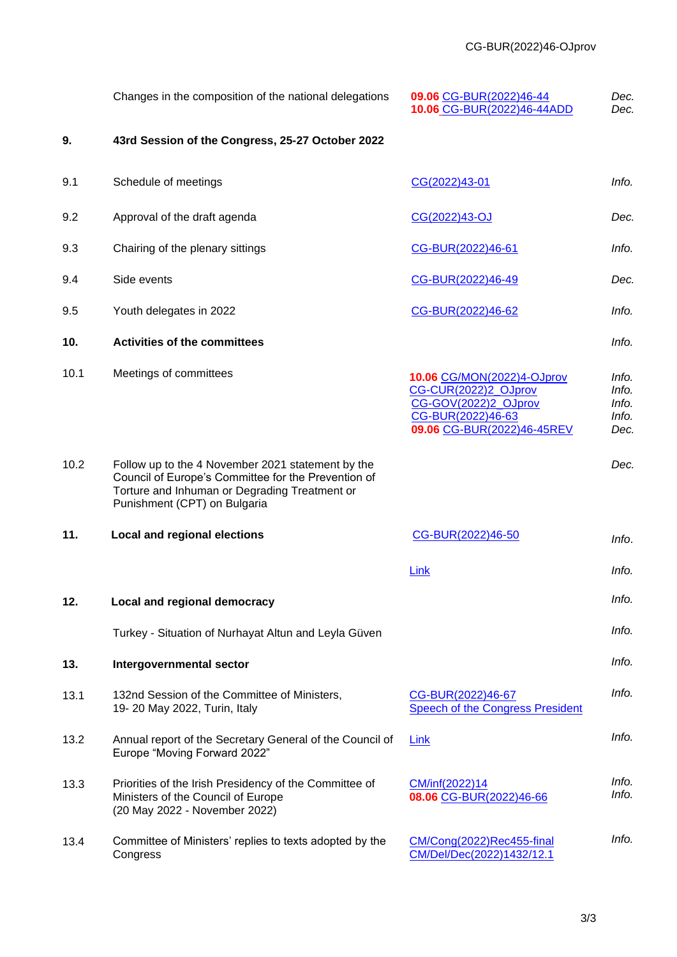|      | Changes in the composition of the national delegations                                                                                                                                    | 09.06 CG-BUR(2022)46-44<br>10.06 CG-BUR(2022)46-44ADD                                                                         | Dec.<br>Dec.                             |
|------|-------------------------------------------------------------------------------------------------------------------------------------------------------------------------------------------|-------------------------------------------------------------------------------------------------------------------------------|------------------------------------------|
| 9.   | 43rd Session of the Congress, 25-27 October 2022                                                                                                                                          |                                                                                                                               |                                          |
| 9.1  | Schedule of meetings                                                                                                                                                                      | CG(2022)43-01                                                                                                                 | Info.                                    |
| 9.2  | Approval of the draft agenda                                                                                                                                                              | CG(2022)43-OJ                                                                                                                 | Dec.                                     |
| 9.3  | Chairing of the plenary sittings                                                                                                                                                          | CG-BUR(2022)46-61                                                                                                             | Info.                                    |
| 9.4  | Side events                                                                                                                                                                               | CG-BUR(2022)46-49                                                                                                             | Dec.                                     |
| 9.5  | Youth delegates in 2022                                                                                                                                                                   | CG-BUR(2022)46-62                                                                                                             | Info.                                    |
| 10.  | <b>Activities of the committees</b>                                                                                                                                                       |                                                                                                                               | Info.                                    |
| 10.1 | Meetings of committees                                                                                                                                                                    | 10.06 CG/MON(2022)4-OJprov<br>CG-CUR(2022)2_OJprov<br>CG-GOV(2022)2 OJprov<br>CG-BUR(2022)46-63<br>09.06 CG-BUR(2022)46-45REV | Info.<br>Info.<br>Info.<br>Info.<br>Dec. |
| 10.2 | Follow up to the 4 November 2021 statement by the<br>Council of Europe's Committee for the Prevention of<br>Torture and Inhuman or Degrading Treatment or<br>Punishment (CPT) on Bulgaria |                                                                                                                               | Dec.                                     |
| 11.  | <b>Local and regional elections</b>                                                                                                                                                       | CG-BUR(2022)46-50                                                                                                             | Info.                                    |
|      |                                                                                                                                                                                           | Link                                                                                                                          | Info.                                    |
| 12.  | <b>Local and regional democracy</b>                                                                                                                                                       |                                                                                                                               | Info.                                    |
|      | Turkey - Situation of Nurhayat Altun and Leyla Güven                                                                                                                                      |                                                                                                                               | Info.                                    |
| 13.  | Intergovernmental sector                                                                                                                                                                  |                                                                                                                               | Info.                                    |
| 13.1 | 132nd Session of the Committee of Ministers,<br>19-20 May 2022, Turin, Italy                                                                                                              | CG-BUR(2022)46-67<br>Speech of the Congress President                                                                         | Info.                                    |
| 13.2 | Annual report of the Secretary General of the Council of<br>Europe "Moving Forward 2022"                                                                                                  | Link                                                                                                                          | Info.                                    |
| 13.3 | Priorities of the Irish Presidency of the Committee of<br>Ministers of the Council of Europe<br>(20 May 2022 - November 2022)                                                             | CM/inf(2022)14<br>08.06 CG-BUR(2022)46-66                                                                                     | Info.<br>Info.                           |
| 13.4 | Committee of Ministers' replies to texts adopted by the<br>Congress                                                                                                                       | CM/Cong(2022)Rec455-final<br>CM/Del/Dec(2022)1432/12.1                                                                        | Info.                                    |